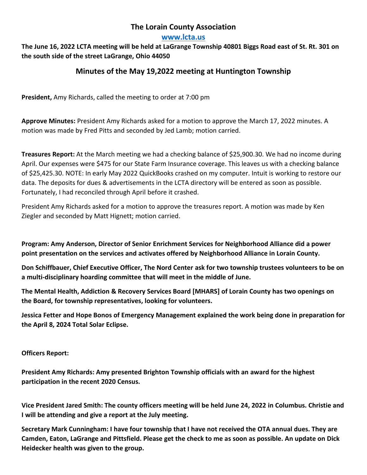# **The Lorain County Association**

### **[www.lcta.us](http://www.lcta.us/)**

**The June 16, 2022 LCTA meeting will be held at LaGrange Township 40801 Biggs Road east of St. Rt. 301 on the south side of the street LaGrange, Ohio 44050**

# **Minutes of the May 19,2022 meeting at Huntington Township**

**President,** Amy Richards, called the meeting to order at 7:00 pm

**Approve Minutes:** President Amy Richards asked for a motion to approve the March 17, 2022 minutes. A motion was made by Fred Pitts and seconded by Jed Lamb; motion carried.

**Treasures Report:** At the March meeting we had a checking balance of \$25,900.30. We had no income during April. Our expenses were \$475 for our State Farm Insurance coverage. This leaves us with a checking balance of \$25,425.30. NOTE: In early May 2022 QuickBooks crashed on my computer. Intuit is working to restore our data. The deposits for dues & advertisements in the LCTA directory will be entered as soon as possible. Fortunately, I had reconciled through April before it crashed.

President Amy Richards asked for a motion to approve the treasures report. A motion was made by Ken Ziegler and seconded by Matt Hignett; motion carried.

**Program: Amy Anderson, Director of Senior Enrichment Services for Neighborhood Alliance did a power point presentation on the services and activates offered by Neighborhood Alliance in Lorain County.**

**Don Schiffbauer, Chief Executive Officer, The Nord Center ask for two township trustees volunteers to be on a multi-disciplinary hoarding committee that will meet in the middle of June.**

**The Mental Health, Addiction & Recovery Services Board [MHARS] of Lorain County has two openings on the Board, for township representatives, looking for volunteers.**

**Jessica Fetter and Hope Bonos of Emergency Management explained the work being done in preparation for the April 8, 2024 Total Solar Eclipse.**

### **Officers Report:**

**President Amy Richards: Amy presented Brighton Township officials with an award for the highest participation in the recent 2020 Census.**

**Vice President Jared Smith: The county officers meeting will be held June 24, 2022 in Columbus. Christie and I will be attending and give a report at the July meeting.**

**Secretary Mark Cunningham: I have four township that I have not received the OTA annual dues. They are Camden, Eaton, LaGrange and Pittsfield. Please get the check to me as soon as possible. An update on Dick Heidecker health was given to the group.**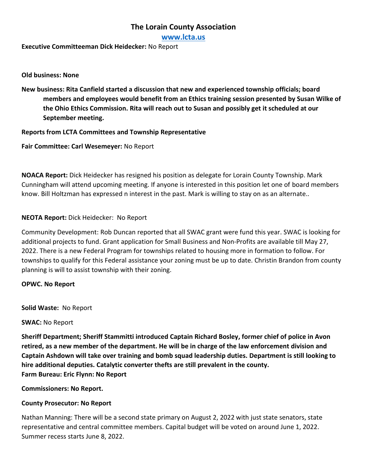# **The Lorain County Association**

**[www.lcta.us](http://www.lcta.us/)**

**Executive Committeeman Dick Heidecker:** No Report

**Old business: None**

**New business: Rita Canfield started a discussion that new and experienced township officials; board members and employees would benefit from an Ethics training session presented by Susan Wilke of the Ohio Ethics Commission. Rita will reach out to Susan and possibly get it scheduled at our September meeting.**

**Reports from LCTA Committees and Township Representative**

**Fair Committee: Carl Wesemeyer:** No Report

**NOACA Report:** Dick Heidecker has resigned his position as delegate for Lorain County Township. Mark Cunningham will attend upcoming meeting. If anyone is interested in this position let one of board members know. Bill Holtzman has expressed n interest in the past. Mark is willing to stay on as an alternate..

### **NEOTA Report:** Dick Heidecker: No Report

Community Development: Rob Duncan reported that all SWAC grant were fund this year. SWAC is looking for additional projects to fund. Grant application for Small Business and Non-Profits are available till May 27, 2022. There is a new Federal Program for townships related to housing more in formation to follow. For townships to qualify for this Federal assistance your zoning must be up to date. Christin Brandon from county planning is will to assist township with their zoning.

#### **OPWC. No Report**

**Solid Waste:** No Report

#### **SWAC:** No Report

**Sheriff Department; Sheriff Stammitti introduced Captain Richard Bosley, former chief of police in Avon retired, as a new member of the department. He will be in charge of the law enforcement division and Captain Ashdown will take over training and bomb squad leadership duties. Department is still looking to hire additional deputies. Catalytic converter thefts are still prevalent in the county. Farm Bureau: Eric Flynn: No Report**

**Commissioners: No Report.**

### **County Prosecutor: No Report**

Nathan Manning: There will be a second state primary on August 2, 2022 with just state senators, state representative and central committee members. Capital budget will be voted on around June 1, 2022. Summer recess starts June 8, 2022.